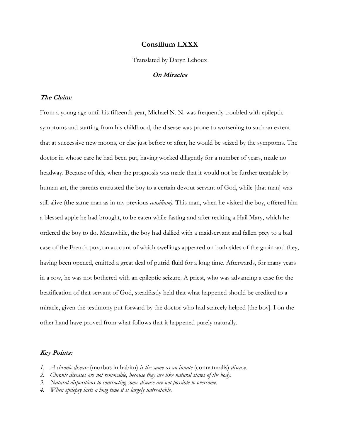## **Consilium LXXX**

Translated by Daryn Lehoux

**On Miracles**

## **The Claim:**

From a young age until his fifteenth year, Michael N. N. was frequently troubled with epileptic symptoms and starting from his childhood, the disease was prone to worsening to such an extent that at successive new moons, or else just before or after, he would be seized by the symptoms. The doctor in whose care he had been put, having worked diligently for a number of years, made no headway. Because of this, when the prognosis was made that it would not be further treatable by human art, the parents entrusted the boy to a certain devout servant of God, while [that man] was still alive (the same man as in my previous *consilium).* This man, when he visited the boy, offered him a blessed apple he had brought, to be eaten while fasting and after reciting a Hail Mary, which he ordered the boy to do. Meanwhile, the boy had dallied with a maidservant and fallen prey to a bad case of the French pox, on account of which swellings appeared on both sides of the groin and they, having been opened, emitted a great deal of putrid fluid for a long time. Afterwards, for many years in a row, he was not bothered with an epileptic seizure. A priest, who was advancing a case for the beatification of that servant of God, steadfastly held that what happened should be credited to a miracle, given the testimony put forward by the doctor who had scarcely helped [the boy]. I on the other hand have proved from what follows that it happened purely naturally.

## **Key Points:**

- *1. A chronic disease* (morbus in habitu) *is the same as an innate* (connaturalis) *disease.*
- *2. Chronic diseases are not removable, because they are like natural states of the body.*
- *3. Natural dispositions to contracting some disease are not possible to overcome.*
- *4. When epilepsy lasts a long time it is largely untreatable.*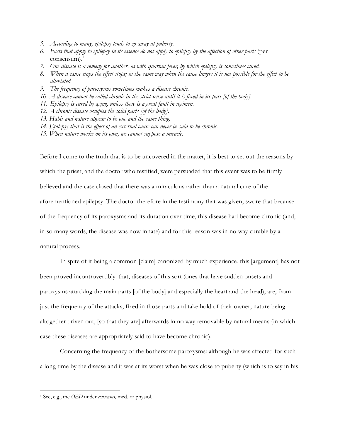- *5. According to many, epilepsy tends to go away at puberty.*
- *6. Facts that apply to epilepsy in its essence do not apply to epilepsy by the affection of other parts* (per consensum). 1
- *7. One disease is a remedy for another, as with quartan fever, by which epilepsy is sometimes cured.*
- *8. When a cause stops the effect stops; in the same way when the cause lingers it is not possible for the effect to be alleviated.*
- *9. The frequency of paroxysms sometimes makes a disease chronic.*
- *10. A disease cannot be called chronic in the strict sense until it is fixed in its part [of the body].*
- *11. Epilepsy is cured by aging, unless there is a great fault in regimen.*
- *12. A chronic disease occupies the solid parts [of the body].*
- *13. Habit and nature appear to be one and the same thing.*
- *14. Epilepsy that is the effect of an external cause can never be said to be chronic.*
- *15. When nature works on its own, we cannot suppose a miracle.*

Before I come to the truth that is to be uncovered in the matter, it is best to set out the reasons by which the priest, and the doctor who testified, were persuaded that this event was to be firmly believed and the case closed that there was a miraculous rather than a natural cure of the aforementioned epilepsy. The doctor therefore in the testimony that was given, swore that because of the frequency of its paroxysms and its duration over time, this disease had become chronic (and, in so many words, the disease was now innate) and for this reason was in no way curable by a natural process.

In spite of it being a common [claim] canonized by much experience, this [argument] has not been proved incontrovertibly: that, diseases of this sort (ones that have sudden onsets and paroxysms attacking the main parts [of the body] and especially the heart and the head), are, from just the frequency of the attacks, fixed in those parts and take hold of their owner, nature being altogether driven out, [so that they are] afterwards in no way removable by natural means (in which case these diseases are appropriately said to have become chronic).

Concerning the frequency of the bothersome paroxysms: although he was affected for such a long time by the disease and it was at its worst when he was close to puberty (which is to say in his

 <sup>1</sup> See, e.g., the *OED* under *consensus,* med. or physiol.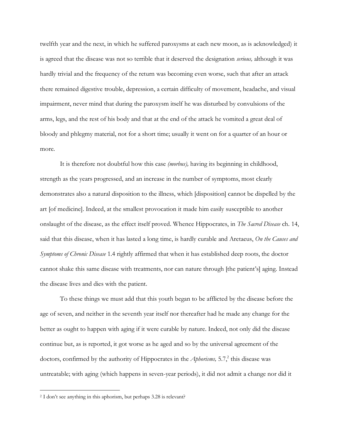twelfth year and the next, in which he suffered paroxysms at each new moon, as is acknowledged) it is agreed that the disease was not so terrible that it deserved the designation *serious,* although it was hardly trivial and the frequency of the return was becoming even worse, such that after an attack there remained digestive trouble, depression, a certain difficulty of movement, headache, and visual impairment, never mind that during the paroxysm itself he was disturbed by convulsions of the arms, legs, and the rest of his body and that at the end of the attack he vomited a great deal of bloody and phlegmy material, not for a short time; usually it went on for a quarter of an hour or more.

It is therefore not doubtful how this case *(morbus),* having its beginning in childhood, strength as the years progressed, and an increase in the number of symptoms, most clearly demonstrates also a natural disposition to the illness, which [disposition] cannot be dispelled by the art [of medicine]. Indeed, at the smallest provocation it made him easily susceptible to another onslaught of the disease, as the effect itself proved. Whence Hippocrates, in *The Sacred Disease* ch. 14, said that this disease, when it has lasted a long time, is hardly curable and Aretaeus, *On the Causes and Symptoms of Chronic Disease* 1.4 rightly affirmed that when it has established deep roots, the doctor cannot shake this same disease with treatments, nor can nature through [the patient's] aging. Instead the disease lives and dies with the patient.

To these things we must add that this youth began to be afflicted by the disease before the age of seven, and neither in the seventh year itself nor thereafter had he made any change for the better as ought to happen with aging if it were curable by nature. Indeed, not only did the disease continue but, as is reported, it got worse as he aged and so by the universal agreement of the doctors, confirmed by the authority of Hippocrates in the *Aphorisms,* 5.7, <sup>2</sup> this disease was untreatable; with aging (which happens in seven-year periods), it did not admit a change nor did it

 <sup>2</sup> I don't see anything in this aphorism, but perhaps 3.28 is relevant?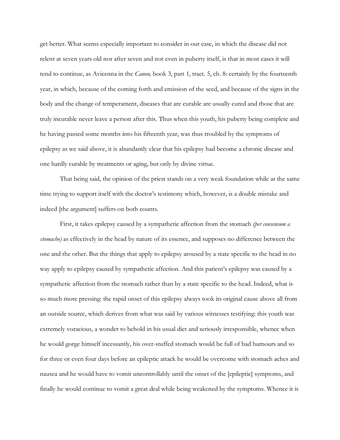get better. What seems especially important to consider in our case, in which the disease did not relent at seven years old nor after seven and not even in puberty itself, is that in most cases it will tend to continue, as Avicenna in the *Canon,* book 3, part 1, tract. 5, ch. 8: certainly by the fourteenth year, in which, because of the coming forth and emission of the seed, and because of the signs in the body and the change of temperament, diseases that are curable are usually cured and those that are truly incurable never leave a person after this. Thus when this youth, his puberty being complete and he having passed some months into his fifteenth year, was thus troubled by the symptoms of epilepsy as we said above, it is abundantly clear that his epilepsy had become a chronic disease and one hardly curable by treatments or aging, but only by divine virtue.

That being said, the opinion of the priest stands on a very weak foundation while at the same time trying to support itself with the doctor's testimony which, however, is a double mistake and indeed [the argument] suffers on both counts.

First, it takes epilepsy caused by a sympathetic affection from the stomach *(per consensum a stomacho)* as effectively in the head by nature of its essence, and supposes no difference between the one and the other. But the things that apply to epilepsy aroused by a state specific to the head in no way apply to epilepsy caused by sympathetic affection. And this patient's epilepsy was caused by a sympathetic affection from the stomach rather than by a state specific to the head. Indeed, what is so much more pressing: the rapid onset of this epilepsy always took its original cause above all from an outside source, which derives from what was said by various witnesses testifying: this youth was extremely voracious, a wonder to behold in his usual diet and seriously irresponsible, whence when he would gorge himself incessantly, his over-stuffed stomach would be full of bad humours and so for three or even four days before an epileptic attack he would be overcome with stomach aches and nausea and he would have to vomit uncontrollably until the onset of the [epileptic] symptoms, and finally he would continue to vomit a great deal while being weakened by the symptoms. Whence it is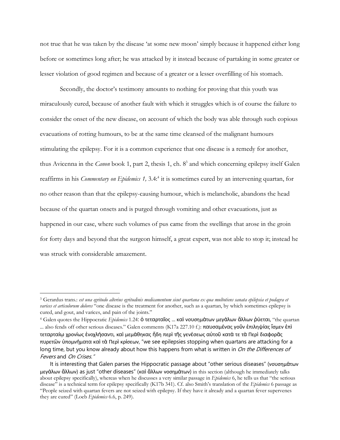not true that he was taken by the disease 'at some new moon' simply because it happened either long before or sometimes long after; he was attacked by it instead because of partaking in some greater or lesser violation of good regimen and because of a greater or a lesser overfilling of his stomach.

Secondly, the doctor's testimony amounts to nothing for proving that this youth was miraculously cured, because of another fault with which it struggles which is of course the failure to consider the onset of the new disease, on account of which the body was able through such copious evacuations of rotting humours, to be at the same time cleansed of the malignant humours stimulating the epilepsy. For it is a common experience that one disease is a remedy for another, thus Avicenna in the *Canon* book 1, part 2, thesis 1, ch. 8<sup>3</sup> and which concerning epilepsy itself Galen reaffirms in his *Commentary on Epidemics 1,* 3.4:4 it is sometimes cured by an intervening quartan, for no other reason than that the epilepsy-causing humour, which is melancholic, abandons the head because of the quartan onsets and is purged through vomiting and other evacuations, just as happened in our case, where such volumes of pus came from the swellings that arose in the groin for forty days and beyond that the surgeon himself, a great expert, was not able to stop it; instead he was struck with considerable amazement.

 <sup>3</sup> Gerardus trans.: *est una egritudo alterius egritudinis medicamentum sicut quartana ex qua multotiens sanata epilepsia et podagra et varices et articulorum dolores* "one disease is the treatment for another, such as a quartan, by which sometimes epilepsy is cured, and gout, and varices, and pain of the joints."

<sup>4</sup> Galen quotes the Hippocratic *Epidemics* 1.24: ὁ τεταρταῖος ... καὶ νουσημάτων μεγάλων ἄλλων ῥύεται, "the quartan ... also fends off other serious diseases." Galen comments (K17a 227.10 f.): παυσαμένας γοῦν ἐπιληψίας ἴσμεν ἐπὶ τεταρταίῳ χρονίως ἐνοχλήσαντι, καὶ μεμάθηκας ἤδη περὶ τῆς γενέσεως αὐτοῦ κατά τε τὰ Περὶ διαφορᾶς πυρετῶν ὑπομνήματα καὶ τὰ Περὶ κρίσεων, "we see epilepsies stopping when quartans are attacking for a long time, but you know already about how this happens from what is written in *On the Differences of* Fevers and On Crises."

It is interesting that Galen parses the Hippocratic passage about "other serious diseases" (νουσημάτων μεγάλων ἄλλων) as just "other diseases" (καὶ ἄλλων νοσημάτων) in this section (although he immediately talks about epilepsy specifically), whereas when he discusses a very similar passage in *Epidemics* 6, he tells us that "the serious disease" is a technical term for epilepsy specifically (K17b 341). Cf. also Smith's translation of the *Epidemics* 6 passage as "People seized with quartan fevers are not seized with epilepsy. If they have it already and a quartan fever supervenes they are cured" (Loeb *Epidemics* 6.6, p. 249).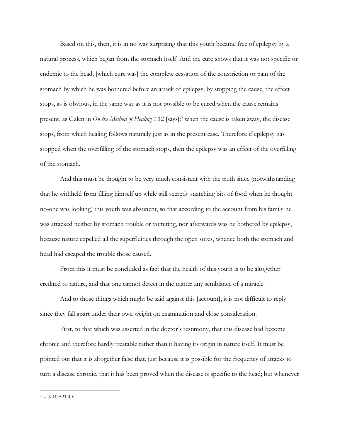Based on this, then, it is in no way surprising that this youth became free of epilepsy by a natural process, which began from the stomach itself. And the cure shows that it was not specific or endemic to the head, [which cure was] the complete cessation of the constriction or pain of the stomach by which he was bothered before an attack of epilepsy; by stopping the cause, the effect stops, as is obvious, in the same way as it is not possible to be cured when the cause remains present, as Galen in *On the Method of Healing* 7.12 [says]: <sup>5</sup> when the cause is taken away, the disease stops, from which healing follows naturally just as in the present case. Therefore if epilepsy has stopped when the overfilling of the stomach stops, then the epilepsy was an effect of the overfilling of the stomach.

And this must be thought to be very much consistent with the truth since (notwithstanding that he withheld from filling himself up while still secretly snatching bits of food when he thought no-one was looking) this youth was abstinent, so that according to the account from his family he was attacked neither by stomach trouble or vomiting, nor afterwards was he bothered by epilepsy, because nature expelled all the superfluities through the open sores, whence both the stomach and head had escaped the trouble those caused.

From this it must be concluded as fact that the health of this youth is to be altogether credited to nature, and that one cannot detect in the matter any semblance of a miracle.

And to those things which might be said against this [account], it is not difficult to reply since they fall apart under their own weight on examination and close consideration.

First, to that which was asserted in the doctor's testimony, that this disease had become chronic and therefore hardly treatable rather than it having its origin in nature itself. It must be pointed out that it is altogether false that, just because it is possible for the frequency of attacks to turn a disease chronic, that it has been proved when the disease is specific to the head; but whenever

 $5 =$ K10 521.4 f.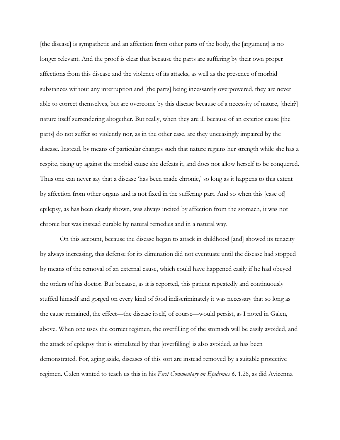[the disease] is sympathetic and an affection from other parts of the body, the [argument] is no longer relevant. And the proof is clear that because the parts are suffering by their own proper affections from this disease and the violence of its attacks, as well as the presence of morbid substances without any interruption and [the parts] being incessantly overpowered, they are never able to correct themselves, but are overcome by this disease because of a necessity of nature, [their?] nature itself surrendering altogether. But really, when they are ill because of an exterior cause [the parts] do not suffer so violently nor, as in the other case, are they unceasingly impaired by the disease. Instead, by means of particular changes such that nature regains her strength while she has a respite, rising up against the morbid cause she defeats it, and does not allow herself to be conquered. Thus one can never say that a disease 'has been made chronic,' so long as it happens to this extent by affection from other organs and is not fixed in the suffering part. And so when this [case of] epilepsy, as has been clearly shown, was always incited by affection from the stomach, it was not chronic but was instead curable by natural remedies and in a natural way.

On this account, because the disease began to attack in childhood [and] showed its tenacity by always increasing, this defense for its elimination did not eventuate until the disease had stopped by means of the removal of an external cause, which could have happened easily if he had obeyed the orders of his doctor. But because, as it is reported, this patient repeatedly and continuously stuffed himself and gorged on every kind of food indiscriminately it was necessary that so long as the cause remained, the effect—the disease itself, of course—would persist, as I noted in Galen, above. When one uses the correct regimen, the overfilling of the stomach will be easily avoided, and the attack of epilepsy that is stimulated by that [overfilling] is also avoided, as has been demonstrated. For, aging aside, diseases of this sort are instead removed by a suitable protective regimen. Galen wanted to teach us this in his *First Commentary on Epidemics 6,* 1.26, as did Avicenna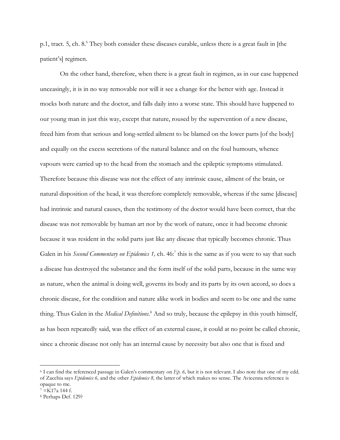p.1, tract. 5, ch. 8.6 They both consider these diseases curable, unless there is a great fault in [the patient's] regimen.

On the other hand, therefore, when there is a great fault in regimen, as in our case happened unceasingly, it is in no way removable nor will it see a change for the better with age. Instead it mocks both nature and the doctor, and falls daily into a worse state. This should have happened to our young man in just this way, except that nature, roused by the supervention of a new disease, freed him from that serious and long-settled ailment to be blamed on the lower parts [of the body] and equally on the excess secretions of the natural balance and on the foul humours, whence vapours were carried up to the head from the stomach and the epileptic symptoms stimulated. Therefore because this disease was not the effect of any intrinsic cause, ailment of the brain, or natural disposition of the head, it was therefore completely removable, whereas if the same [disease] had intrinsic and natural causes, then the testimony of the doctor would have been correct, that the disease was not removable by human art nor by the work of nature, once it had become chronic because it was resident in the solid parts just like any disease that typically becomes chronic. Thus Galen in his *Second Commentary on Epidemics 1,* ch. 46:7 this is the same as if you were to say that such a disease has destroyed the substance and the form itself of the solid parts, because in the same way as nature, when the animal is doing well, governs its body and its parts by its own accord, so does a chronic disease, for the condition and nature alike work in bodies and seem to be one and the same thing. Thus Galen in the *Medical Definitions.*<sup>8</sup> And so truly, because the epilepsy in this youth himself, as has been repeatedly said, was the effect of an external cause, it could at no point be called chronic, since a chronic disease not only has an internal cause by necessity but also one that is fixed and

 <sup>6</sup> I can find the referenced passage in Galen's commentary on *Ep. 6,* but it is not relevant. I also note that one of my edd. of Zacchia says *Epidemics 6,* and the other *Epidemics 8,* the latter of which makes no sense. The Avicenna reference is opaque to me.

 $^7 = \overline{K}$ 17a 144 f.

<sup>8</sup> Perhaps Def. 129?